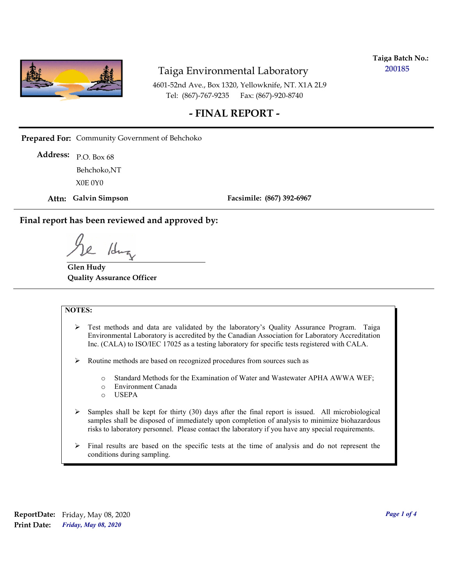

**Taiga Batch No.: 200185**

4601-52nd Ave., Box 1320, Yellowknife, NT. X1A 2L9 Tel: (867)-767-9235 Fax: (867)-920-8740

### **- FINAL REPORT -**

**Prepared For:** Community Government of Behchoko

P.O. Box 68 **Address:** X0E 0Y0 Behchoko,NT

**Attn: Galvin Simpson**

**Facsimile: (867) 392-6967**

**Final report has been reviewed and approved by:**

1dr

**Glen Hudy Quality Assurance Officer**

#### **NOTES:**

- $\triangleright$  Test methods and data are validated by the laboratory's Quality Assurance Program. Taiga Environmental Laboratory is accredited by the Canadian Association for Laboratory Accreditation Inc. (CALA) to ISO/IEC 17025 as a testing laboratory for specific tests registered with CALA.
- Routine methods are based on recognized procedures from sources such as
	- o Standard Methods for the Examination of Water and Wastewater APHA AWWA WEF;
	- o Environment Canada
	- o USEPA
- $\triangleright$  Samples shall be kept for thirty (30) days after the final report is issued. All microbiological samples shall be disposed of immediately upon completion of analysis to minimize biohazardous risks to laboratory personnel. Please contact the laboratory if you have any special requirements.
- $\triangleright$  Final results are based on the specific tests at the time of analysis and do not represent the conditions during sampling.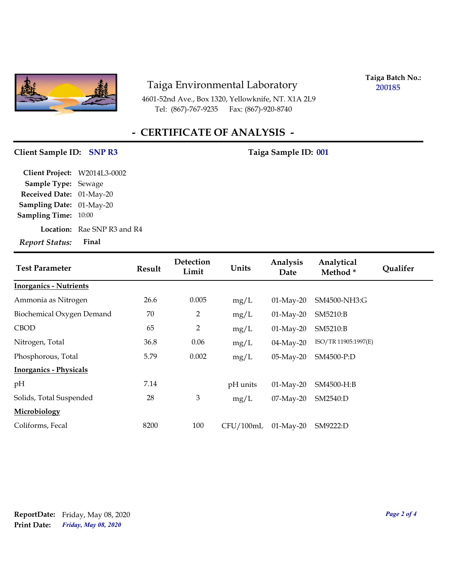

4601-52nd Ave., Box 1320, Yellowknife, NT. X1A 2L9 Tel: (867)-767-9235

**Taiga Batch No.: 200185**

## **- CERTIFICATE OF ANALYSIS -**

#### Client Sample ID: SNP R3 Taiga Sample ID: 001

| Client Project: W2014L3-0002    |                                    |
|---------------------------------|------------------------------------|
| Sample Type: Sewage             |                                    |
| Received Date: 01-May-20        |                                    |
| <b>Sampling Date: 01-May-20</b> |                                    |
| Sampling Time: 10:00            |                                    |
|                                 | <b>Location:</b> Rae SNP R3 and R4 |
| Report Status:                  | Final                              |

| <b>Test Parameter</b>         | <b>Result</b> | Detection<br>Limit | Units     | Analysis<br>Date | Analytical<br>Method* | Qualifer |
|-------------------------------|---------------|--------------------|-----------|------------------|-----------------------|----------|
| <b>Inorganics - Nutrients</b> |               |                    |           |                  |                       |          |
| Ammonia as Nitrogen           | 26.6          | 0.005              | mg/L      | $01$ -May-20     | SM4500-NH3:G          |          |
| Biochemical Oxygen Demand     | 70            | 2                  | mg/L      | $01$ -May-20     | SM5210:B              |          |
| <b>CBOD</b>                   | 65            | $\overline{2}$     | mg/L      | $01-May-20$      | SM5210:B              |          |
| Nitrogen, Total               | 36.8          | 0.06               | mg/L      | $04$ -May-20     | ISO/TR 11905:1997(E)  |          |
| Phosphorous, Total            | 5.79          | 0.002              | mg/L      | $05$ -May-20     | SM4500-P:D            |          |
| <b>Inorganics - Physicals</b> |               |                    |           |                  |                       |          |
| pH                            | 7.14          |                    | pH units  | $01$ -May-20     | SM4500-H:B            |          |
| Solids, Total Suspended       | 28            | 3                  | mg/L      | $07$ -May-20     | SM2540:D              |          |
| Microbiology                  |               |                    |           |                  |                       |          |
| Coliforms, Fecal              | 8200          | 100                | CFU/100mL | $01$ -May-20     | SM9222:D              |          |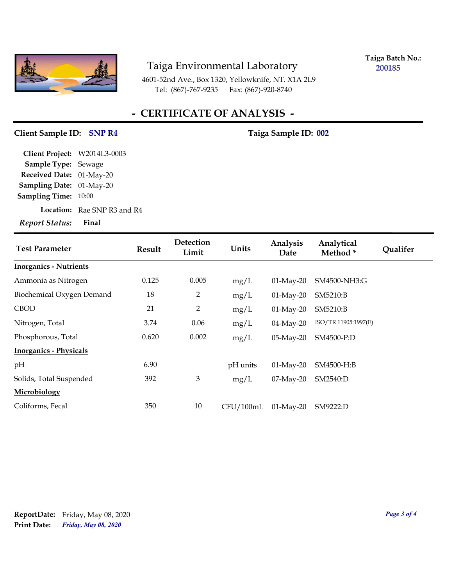

**Taiga Batch No.: 200185**

4601-52nd Ave., Box 1320, Yellowknife, NT. X1A 2L9 Tel: (867)-767-9235 Fax: (867)-920-8740

## **- CERTIFICATE OF ANALYSIS -**

#### Client Sample ID: SNP R4 Taiga Sample ID: 002

| Report Status: Final            |                                    |
|---------------------------------|------------------------------------|
|                                 | <b>Location:</b> Rae SNP R3 and R4 |
| <b>Sampling Time: 10:00</b>     |                                    |
| <b>Sampling Date: 01-May-20</b> |                                    |
| Received Date: 01-May-20        |                                    |
| Sample Type: Sewage             |                                    |
| Client Project: W2014L3-0003    |                                    |

| <b>Test Parameter</b>         | Result | Detection<br>Limit | Units     | Analysis<br>Date | Analytical<br>Method* | <b>Qualifer</b> |
|-------------------------------|--------|--------------------|-----------|------------------|-----------------------|-----------------|
| <b>Inorganics - Nutrients</b> |        |                    |           |                  |                       |                 |
| Ammonia as Nitrogen           | 0.125  | 0.005              | mg/L      | $01$ -May-20     | SM4500-NH3:G          |                 |
| Biochemical Oxygen Demand     | 18     | 2                  | mg/L      | $01$ -May-20     | SM5210:B              |                 |
| <b>CBOD</b>                   | 21     | $\overline{2}$     | mg/L      | $01$ -May-20     | SM5210:B              |                 |
| Nitrogen, Total               | 3.74   | 0.06               | mg/L      | $04$ -May-20     | ISO/TR 11905:1997(E)  |                 |
| Phosphorous, Total            | 0.620  | 0.002              | mg/L      | 05-May-20        | SM4500-P:D            |                 |
| <b>Inorganics - Physicals</b> |        |                    |           |                  |                       |                 |
| pH                            | 6.90   |                    | pH units  | $01-May-20$      | SM4500-H:B            |                 |
| Solids, Total Suspended       | 392    | 3                  | mg/L      | $07$ -May-20     | SM2540:D              |                 |
| Microbiology                  |        |                    |           |                  |                       |                 |
| Coliforms, Fecal              | 350    | 10                 | CFU/100mL | $01-May-20$      | SM9222:D              |                 |